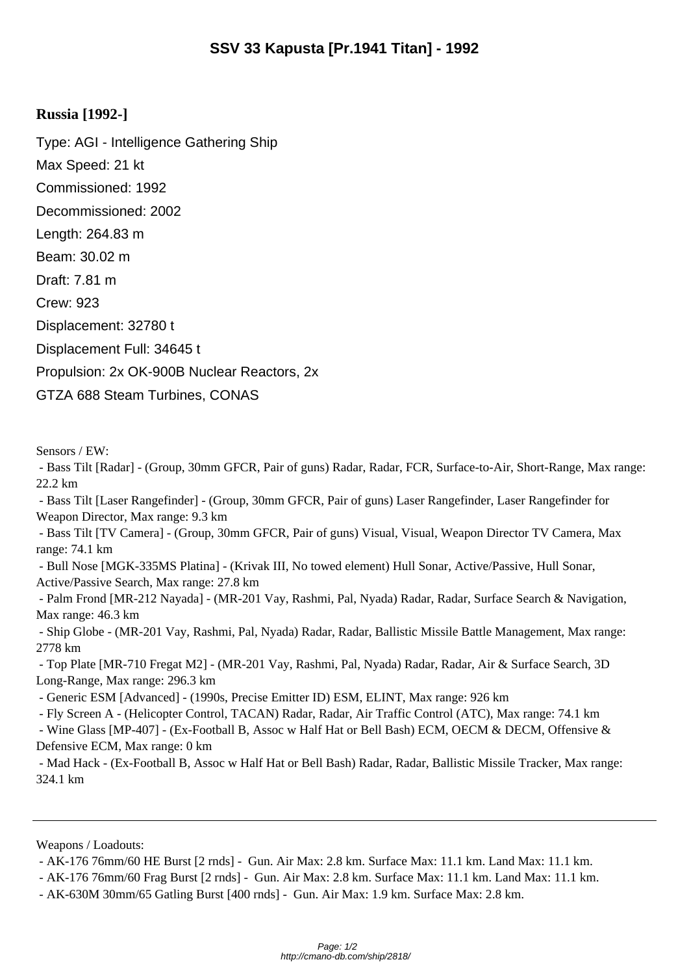## **Russia [1992-]**

Type: AGI - Intelligence Gathering Ship Max Speed: 21 kt Commissioned: 1992 Decommissioned: 2002 Length: 264.83 m Beam: 30.02 m Draft: 7.81 m Crew: 923 Displacement: 32780 t Displacement Full: 34645 t Propulsion: 2x OK-900B Nuclear Reactors, 2x GTZA 688 Steam Turbines, CONAS

Sensors / EW:

 - Bass Tilt [Radar] - (Group, 30mm GFCR, Pair of guns) Radar, Radar, FCR, Surface-to-Air, Short-Range, Max range: 22.2 km

 - Bass Tilt [Laser Rangefinder] - (Group, 30mm GFCR, Pair of guns) Laser Rangefinder, Laser Rangefinder for Weapon Director, Max range: 9.3 km

 - Bass Tilt [TV Camera] - (Group, 30mm GFCR, Pair of guns) Visual, Visual, Weapon Director TV Camera, Max range: 74.1 km

 - Bull Nose [MGK-335MS Platina] - (Krivak III, No towed element) Hull Sonar, Active/Passive, Hull Sonar, Active/Passive Search, Max range: 27.8 km

 - Palm Frond [MR-212 Nayada] - (MR-201 Vay, Rashmi, Pal, Nyada) Radar, Radar, Surface Search & Navigation, Max range: 46.3 km

 - Ship Globe - (MR-201 Vay, Rashmi, Pal, Nyada) Radar, Radar, Ballistic Missile Battle Management, Max range: 2778 km

 - Top Plate [MR-710 Fregat M2] - (MR-201 Vay, Rashmi, Pal, Nyada) Radar, Radar, Air & Surface Search, 3D Long-Range, Max range: 296.3 km

- Generic ESM [Advanced] - (1990s, Precise Emitter ID) ESM, ELINT, Max range: 926 km

- Fly Screen A - (Helicopter Control, TACAN) Radar, Radar, Air Traffic Control (ATC), Max range: 74.1 km

 - Wine Glass [MP-407] - (Ex-Football B, Assoc w Half Hat or Bell Bash) ECM, OECM & DECM, Offensive & Defensive ECM, Max range: 0 km

 - Mad Hack - (Ex-Football B, Assoc w Half Hat or Bell Bash) Radar, Radar, Ballistic Missile Tracker, Max range: 324.1 km

Weapons / Loadouts:

 <sup>-</sup> AK-176 76mm/60 HE Burst [2 rnds] - Gun. Air Max: 2.8 km. Surface Max: 11.1 km. Land Max: 11.1 km.

 <sup>-</sup> AK-176 76mm/60 Frag Burst [2 rnds] - Gun. Air Max: 2.8 km. Surface Max: 11.1 km. Land Max: 11.1 km.

 <sup>-</sup> AK-630M 30mm/65 Gatling Burst [400 rnds] - Gun. Air Max: 1.9 km. Surface Max: 2.8 km.